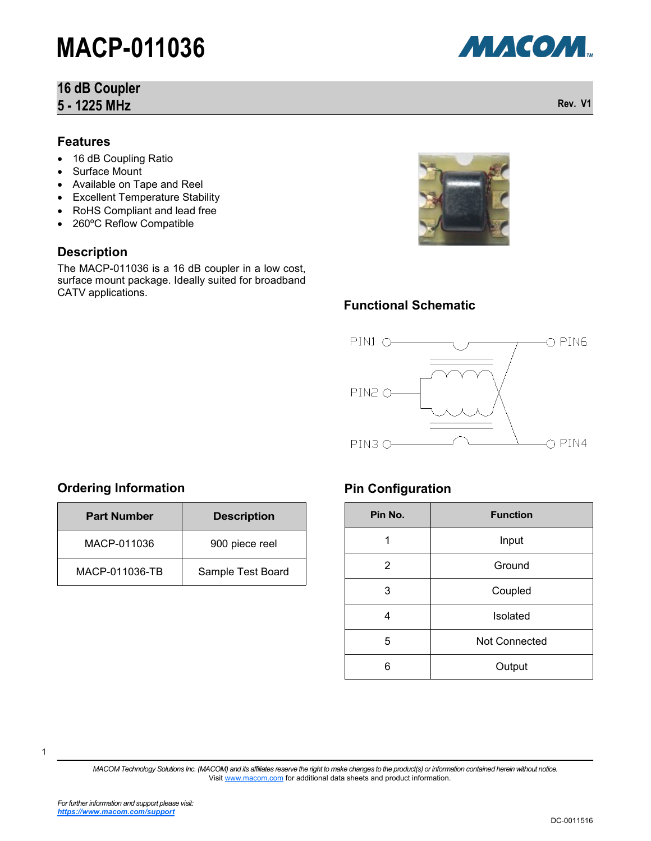### **16 dB Coupler 5 - 1225 MHz**

#### **Features**

- 16 dB Coupling Ratio
- Surface Mount
- Available on Tape and Reel
- Excellent Temperature Stability
- RoHS Compliant and lead free
- 260°C Reflow Compatible

#### **Description**

The MACP-011036 is a 16 dB coupler in a low cost, surface mount package. Ideally suited for broadband CATV applications.



### **Functional Schematic**



### **Ordering Information**

| <b>Part Number</b> | <b>Description</b> |  |
|--------------------|--------------------|--|
| MACP-011036        | 900 piece reel     |  |
| MACP-011036-TB     | Sample Test Board  |  |

#### **Pin Configuration**

| Pin No.        | <b>Function</b> |  |  |
|----------------|-----------------|--|--|
| 1              | Input           |  |  |
| $\overline{2}$ | Ground          |  |  |
| 3              | Coupled         |  |  |
| 4              | Isolated        |  |  |
| 5              | Not Connected   |  |  |
| 6              | Output          |  |  |

*MACOM Technology Solutions Inc. (MACOM) and its affiliates reserve the right to make changes to the product(s) or information contained herein without notice.*  Visit [www.macom.com](http://www.macom.com/) for additional data sheets and product information.



**Rev. V1**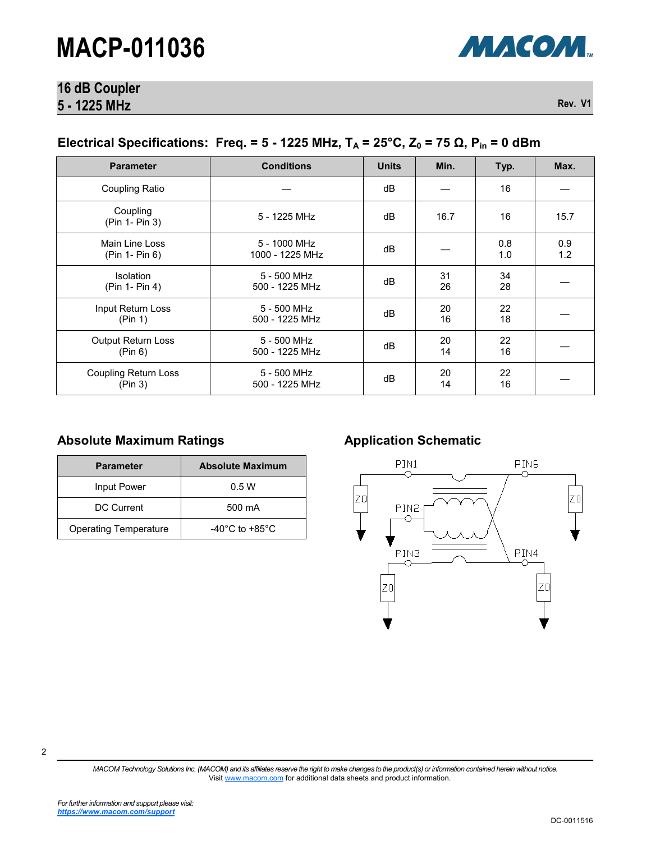

# **16 dB Coupler 5 - 1225 MHz**

**Rev. V1**

### **Electrical Specifications: Freq. = 5 - 1225 MHz,**  $T_A$  **= 25°C,**  $Z_0$  **= 75 Ω,**  $P_{in}$  **= 0 dBm**

| <b>Parameter</b>                       | <b>Conditions</b>               | <b>Units</b> | Min.     | Typ.       | Max.       |
|----------------------------------------|---------------------------------|--------------|----------|------------|------------|
| Coupling Ratio                         |                                 | dB           |          | 16         |            |
| Coupling<br>(Pin 1- Pin 3)             | 5 - 1225 MHz                    | dB           | 16.7     | 16         | 15.7       |
| Main Line Loss<br>(Pin 1- Pin 6)       | 5 - 1000 MHz<br>1000 - 1225 MHz | dB           |          | 0.8<br>1.0 | 0.9<br>1.2 |
| <b>Isolation</b><br>(Pin 1- Pin 4)     | 5 - 500 MHz<br>500 - 1225 MHz   | dB           | 31<br>26 | 34<br>28   |            |
| Input Return Loss<br>(Pin 1)           | 5 - 500 MHz<br>500 - 1225 MHz   | dB           | 20<br>16 | 22<br>18   |            |
| <b>Output Return Loss</b><br>(Pin 6)   | 5 - 500 MHz<br>500 - 1225 MHz   | dB           | 20<br>14 | 22<br>16   |            |
| <b>Coupling Return Loss</b><br>(Pin 3) | 5 - 500 MHz<br>500 - 1225 MHz   | dB           | 20<br>14 | 22<br>16   |            |

### Absolute Maximum Ratings **Allemantic Application Schematic**

| <b>Parameter</b>             | <b>Absolute Maximum</b>            |
|------------------------------|------------------------------------|
| Input Power                  | 0.5W                               |
| DC Current                   | 500 mA                             |
| <b>Operating Temperature</b> | $-40^{\circ}$ C to $+85^{\circ}$ C |



*MACOM Technology Solutions Inc. (MACOM) and its affiliates reserve the right to make changes to the product(s) or information contained herein without notice.*  Visit [www.macom.com](http://www.macom.com/) for additional data sheets and product information.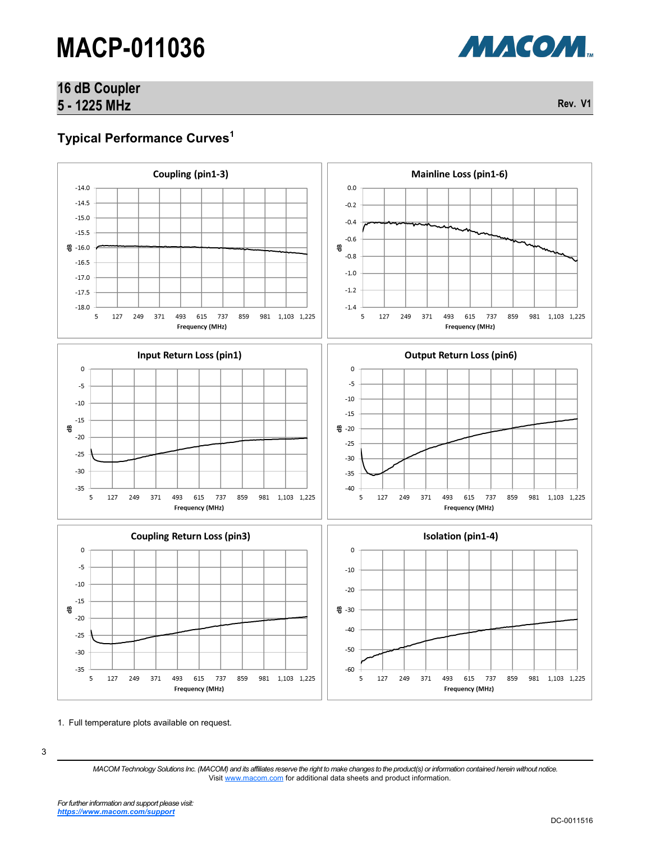# **16 dB Coupler 5 - 1225 MHz**

**Rev. V1**

МАСОМ.

# **Typical Performance Curves<sup>1</sup>**



1. Full temperature plots available on request.

<sup>3</sup>

*MACOM Technology Solutions Inc. (MACOM) and its affiliates reserve the right to make changes to the product(s) or information contained herein without notice.*  Visit [www.macom.com](http://www.macom.com/) for additional data sheets and product information.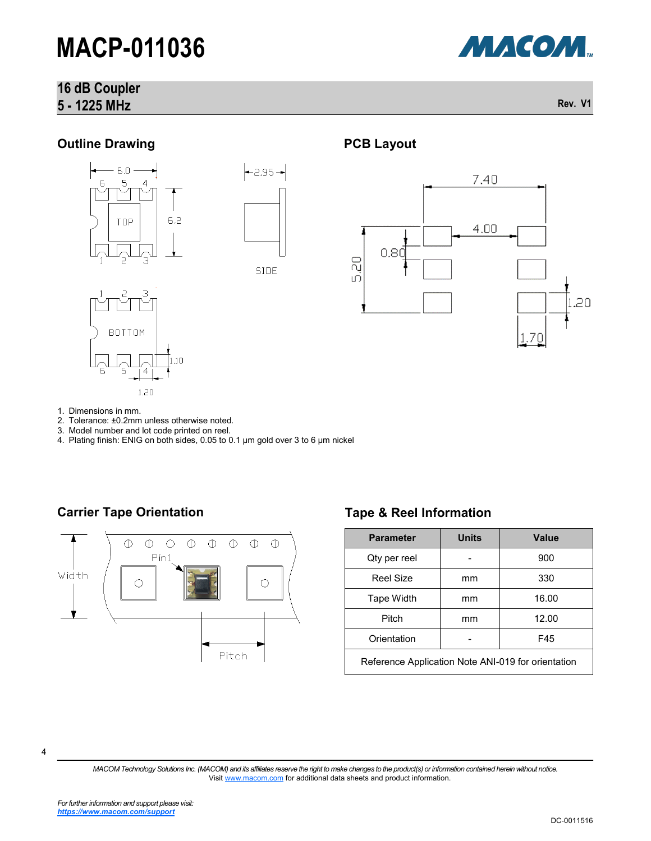# **16 dB Coupler 5 - 1225 MHz**



**Rev. V1**

### **Outline Drawing**







# **PCB Layout**



- 1. Dimensions in mm.
- 2. Tolerance: ±0.2mm unless otherwise noted.
- 3. Model number and lot code printed on reel.
- 4. Plating finish: ENIG on both sides, 0.05 to 0.1 µm gold over 3 to 6 µm nickel

### **Carrier Tape Orientation Tape & Reel Information**



| <b>Parameter</b>                                   | <b>Units</b> | Value |  |  |
|----------------------------------------------------|--------------|-------|--|--|
| Qty per reel                                       |              | 900   |  |  |
| <b>Reel Size</b>                                   | mm           | 330   |  |  |
| Tape Width                                         | mm           | 16.00 |  |  |
| Pitch                                              | mm           | 12.00 |  |  |
| Orientation                                        |              | F45   |  |  |
| Reference Application Note ANI-019 for orientation |              |       |  |  |

4

*MACOM Technology Solutions Inc. (MACOM) and its affiliates reserve the right to make changes to the product(s) or information contained herein without notice.*  Visit [www.macom.com](http://www.macom.com/) for additional data sheets and product information.